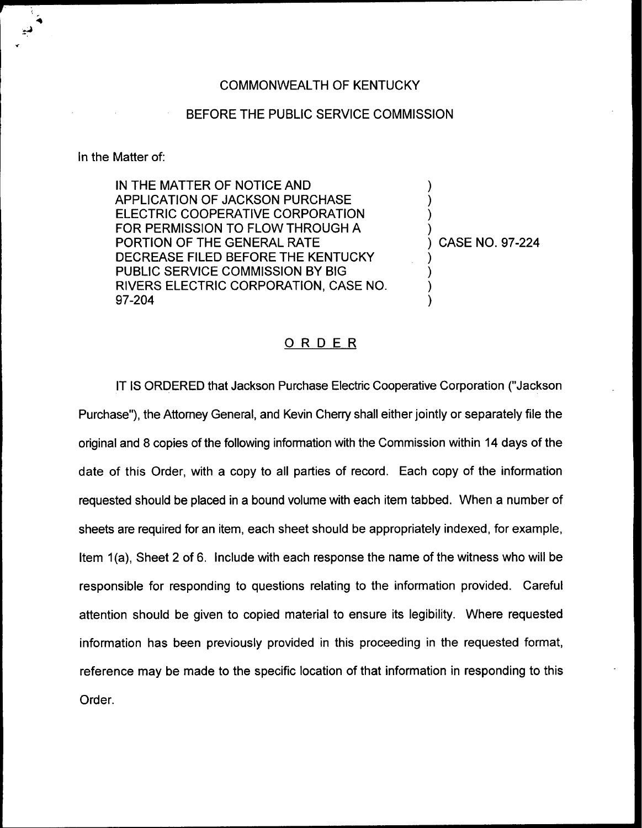## COMMONWEALTH OF KENTUCKY

## BEFORE THE PUBLIC SERVICE COMMISSION

## In the Matter of:

IN THE MATTER OF NOTICE AND APPLICATION OF JACKSON PURCHASE ELECTRIC COOPERATIVE CORPORATION FOR PERMISSION TO FLOW THROUGH A PORTION OF THE GENERAL RATE DECREASE FILED BEFORE THE KENTUCKY PUBLIC SERVICE COMMISSION BY BIG RIVERS ELECTRIC CORPORATION, CASE NO. 97-204

) CASE NO. 97-224

) ) ) )

) ) ) )

## ORDER

IT IS ORDERED that Jackson Purchase Electric Cooperative Corporation ("Jackson Purchase"), the Attorney General, and Kevin Cherry shall either jointly or separately file the original and 8 copies of the following information with the Commission within 14 days of the date of this Order, with a copy to all parties of record. Each copy of the information requested should be placed in a bound volume with each item tabbed. When a number of sheets are required for an item, each sheet should be appropriately indexed, for example, Item 1(a), Sheet 2 of 6. Include with each response the name of the witness who will be responsible for responding to questions relating to the information provided. Careful attention should be given to copied material to ensure its legibility. Where requested information has been previously provided in this proceeding in the requested format, reference may be made to the specific location of that information in responding to this Order.